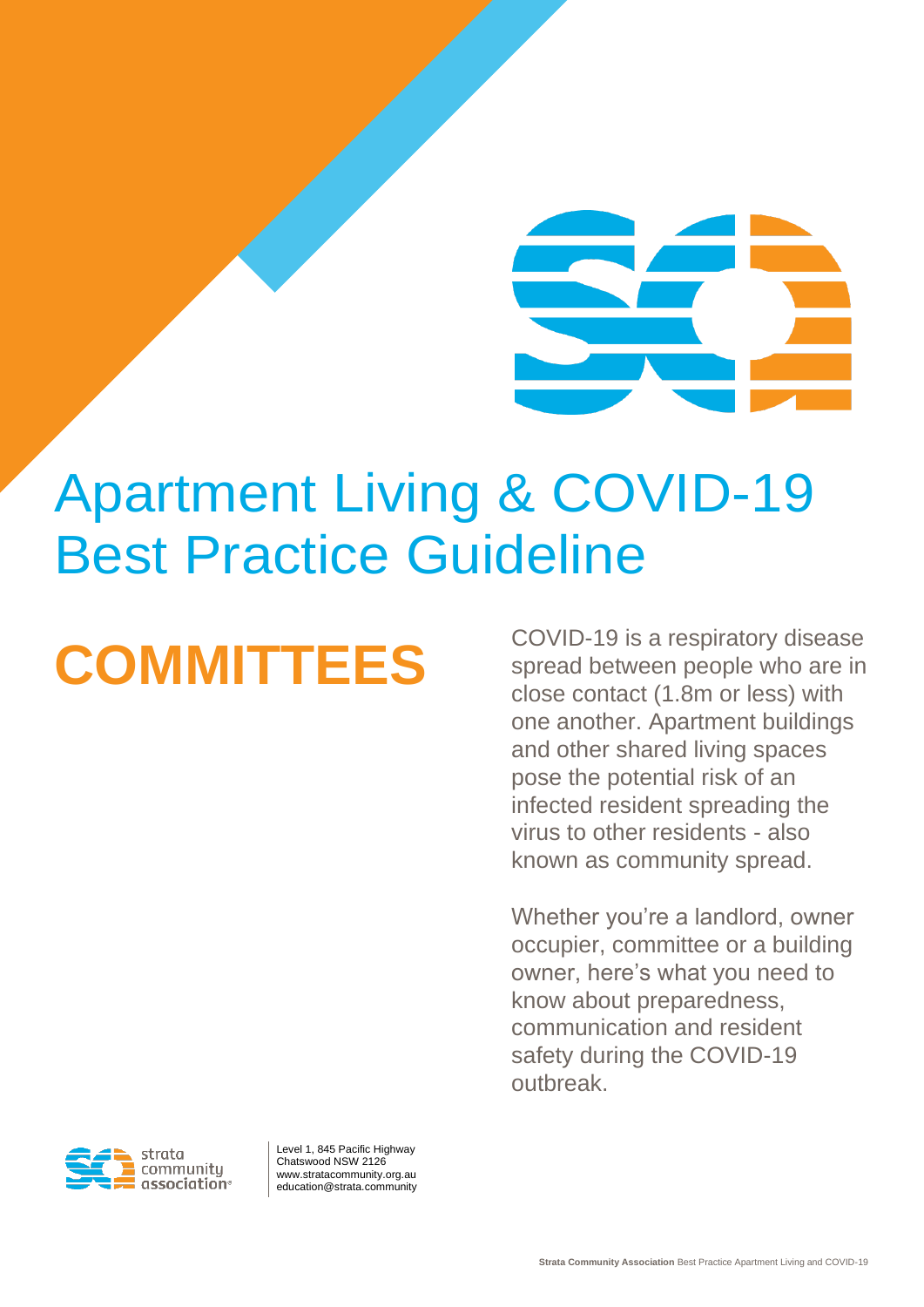Apartment Living & COVID-19 Best Practice Guideline

**COMMITTEES** COVID-19 is a respiratory disease<br>spread between people who are in spread between people who are in close contact (1.8m or less) with one another. Apartment buildings and other shared living spaces pose the potential risk of an infected resident spreading the virus to other residents - also known as community spread.

> Whether you're a landlord, owner occupier, committee or a building owner, here's what you need to know about preparedness, communication and resident safety during the COVID-19 outbreak.



Level 1, 845 Pacific Highway Chatswood NSW 2126 www.stratacommunity.org.au education@strata.community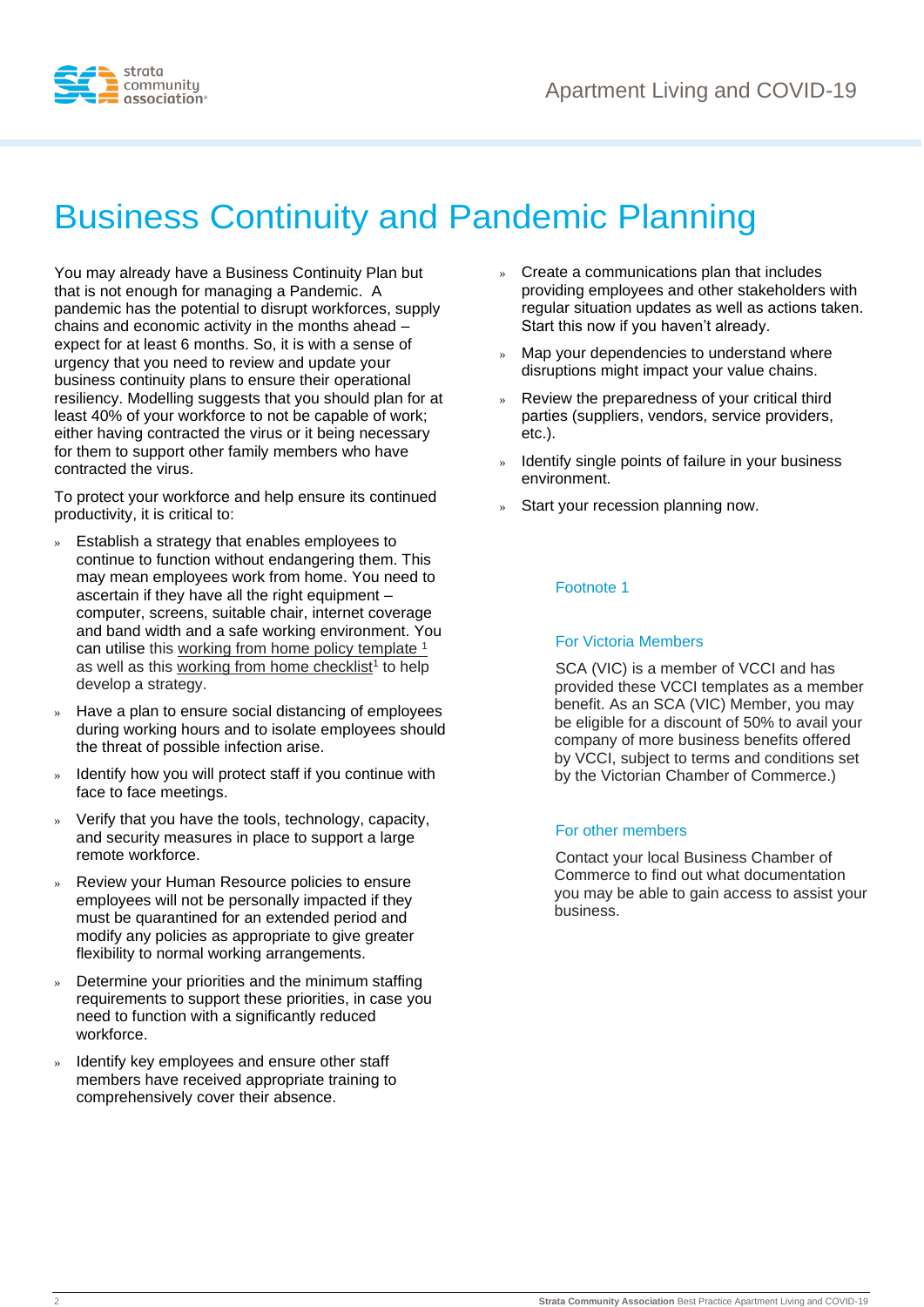

# Business Continuity and Pandemic Planning

You may already have a Business Continuity Plan but that is not enough for managing a Pandemic. A pandemic has the potential to disrupt workforces, supply chains and economic activity in the months ahead – expect for at least 6 months. So, it is with a sense of urgency that you need to review and update your business continuity plans to ensure their operational resiliency. Modelling suggests that you should plan for at least 40% of your workforce to not be capable of work; either having contracted the virus or it being necessary for them to support other family members who have contracted the virus.

To protect your workforce and help ensure its continued productivity, it is critical to:

- » Establish a strategy that enables employees to continue to function without endangering them. This may mean employees work from home. You need to ascertain if they have all the right equipment – computer, screens, suitable chair, internet coverage and band width and a safe working environment. You can utilise this [working from home policy template](https://www.strata.community/documents/item/1359) <sup>1</sup> as well as this [working from home checklist](https://www.strata.community/documents/item/1358)<sup>1</sup> to help develop a strategy.
- » Have a plan to ensure social distancing of employees during working hours and to isolate employees should the threat of possible infection arise.
- » Identify how you will protect staff if you continue with face to face meetings.
- » Verify that you have the tools, technology, capacity, and security measures in place to support a large remote workforce.
- » Review your Human Resource policies to ensure employees will not be personally impacted if they must be quarantined for an extended period and modify any policies as appropriate to give greater flexibility to normal working arrangements.
- » Determine your priorities and the minimum staffing requirements to support these priorities, in case you need to function with a significantly reduced workforce.
- » Identify key employees and ensure other staff members have received appropriate training to comprehensively cover their absence.
- » Create a communications plan that includes providing employees and other stakeholders with regular situation updates as well as actions taken. Start this now if you haven't already.
- » Map your dependencies to understand where disruptions might impact your value chains.
- » Review the preparedness of your critical third parties (suppliers, vendors, service providers, etc.).
- » Identify single points of failure in your business environment.
- Start your recession planning now.

#### Footnote 1

#### For Victoria Members

SCA (VIC) is a member of VCCI and has provided these VCCI templates as a member benefit. As an SCA (VIC) Member, you may be eligible for a discount of 50% to avail your company of more business benefits offered by VCCI, subject to terms and conditions set by the Victorian Chamber of Commerce.)

#### For other members

Contact your local Business Chamber of Commerce to find out what documentation you may be able to gain access to assist your business.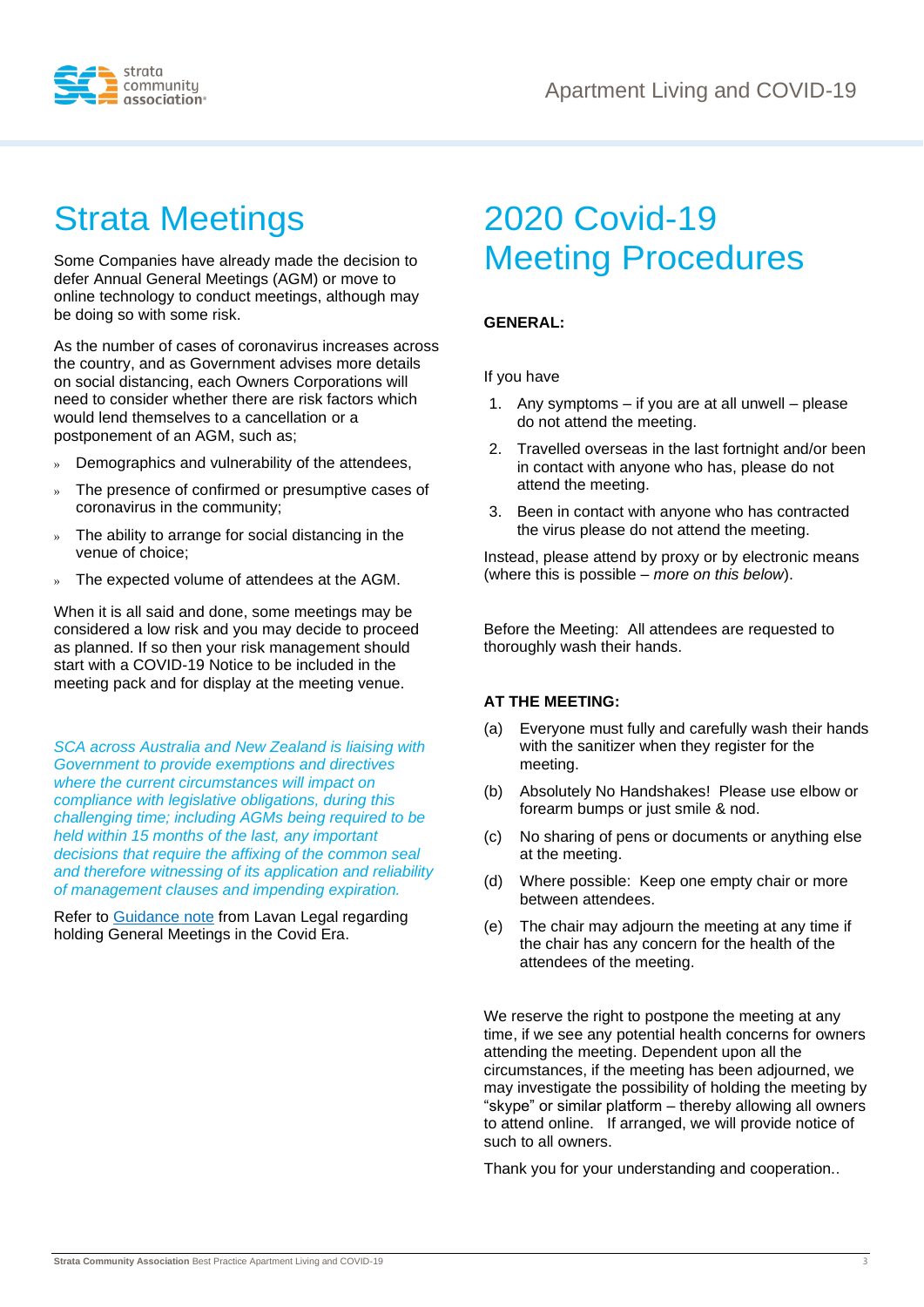



# Strata Meetings

Some Companies have already made the decision to defer Annual General Meetings (AGM) or move to online technology to conduct meetings, although may be doing so with some risk.

As the number of cases of coronavirus increases across the country, and as Government advises more details on social distancing, each Owners Corporations will need to consider whether there are risk factors which would lend themselves to a cancellation or a postponement of an AGM, such as;

- » Demographics and vulnerability of the attendees,
- The presence of confirmed or presumptive cases of coronavirus in the community;
- » The ability to arrange for social distancing in the venue of choice;
- The expected volume of attendees at the AGM.

When it is all said and done, some meetings may be considered a low risk and you may decide to proceed as planned. If so then your risk management should start with a COVID-19 Notice to be included in the meeting pack and for display at the meeting venue.

*SCA across Australia and New Zealand is liaising with Government to provide exemptions and directives where the current circumstances will impact on compliance with legislative obligations, during this challenging time; including AGMs being required to be held within 15 months of the last, any important decisions that require the affixing of the common seal and therefore witnessing of its application and reliability of management clauses and impending expiration.*

Refer to [Guidance note](https://www.strata.community/documents/item/1377) from Lavan Legal regarding holding General Meetings in the Covid Era.

# 2020 Covid-19 Meeting Procedures

#### **GENERAL:**

If you have

- 1. Any symptoms if you are at all unwell please do not attend the meeting.
- 2. Travelled overseas in the last fortnight and/or been in contact with anyone who has, please do not attend the meeting.
- 3. Been in contact with anyone who has contracted the virus please do not attend the meeting.

Instead, please attend by proxy or by electronic means (where this is possible – *more on this below*).

Before the Meeting: All attendees are requested to thoroughly wash their hands.

#### **AT THE MEETING:**

- (a) Everyone must fully and carefully wash their hands with the sanitizer when they register for the meeting.
- (b) Absolutely No Handshakes! Please use elbow or forearm bumps or just smile & nod.
- (c) No sharing of pens or documents or anything else at the meeting.
- (d) Where possible: Keep one empty chair or more between attendees.
- (e) The chair may adjourn the meeting at any time if the chair has any concern for the health of the attendees of the meeting.

We reserve the right to postpone the meeting at any time, if we see any potential health concerns for owners attending the meeting. Dependent upon all the circumstances, if the meeting has been adjourned, we may investigate the possibility of holding the meeting by "skype" or similar platform – thereby allowing all owners to attend online. If arranged, we will provide notice of such to all owners.

Thank you for your understanding and cooperation..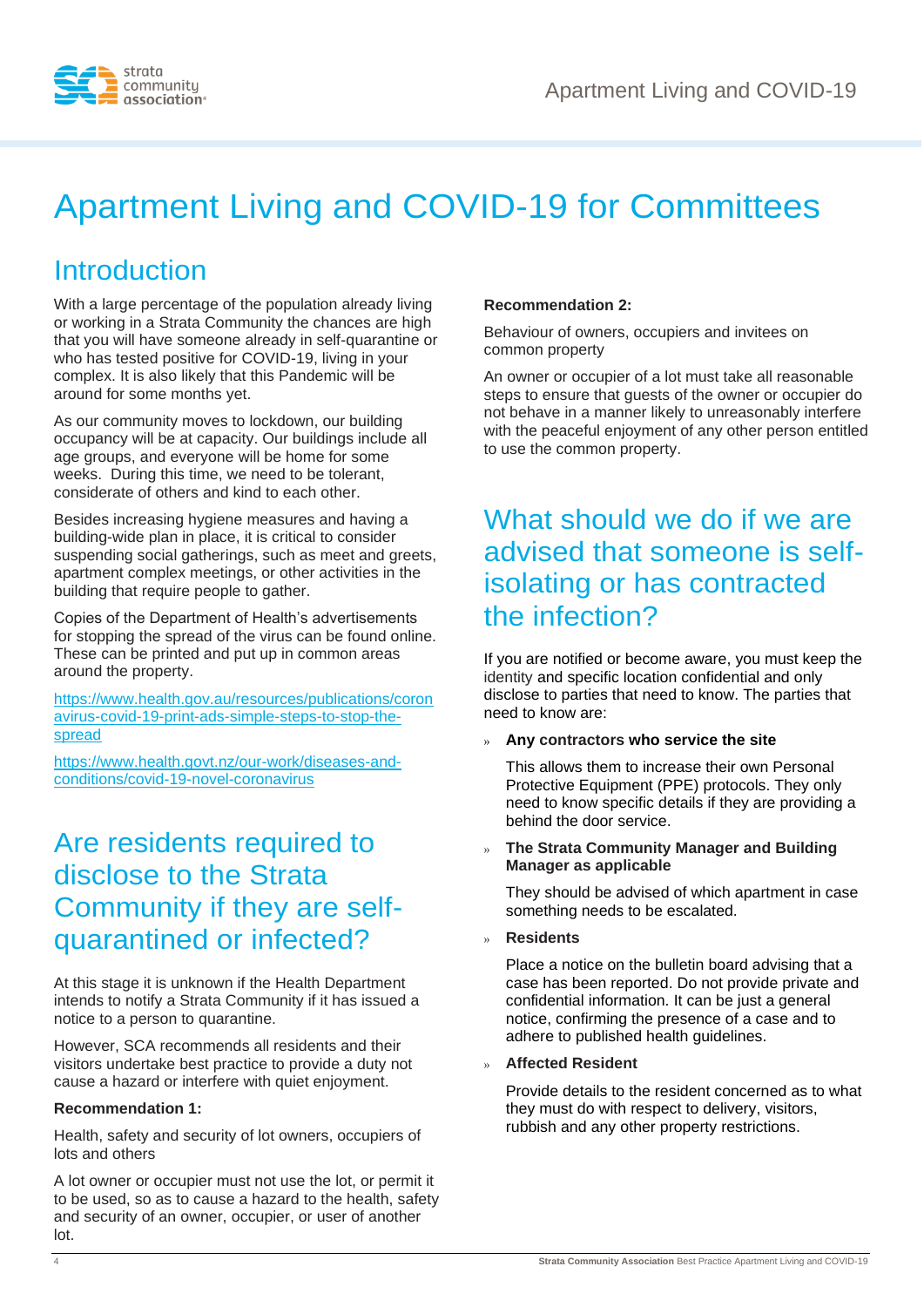

# Apartment Living and COVID-19 for Committees

### Introduction

With a large percentage of the population already living or working in a Strata Community the chances are high that you will have someone already in self-quarantine or who has tested positive for COVID-19, living in your complex. It is also likely that this Pandemic will be around for some months yet.

As our community moves to lockdown, our building occupancy will be at capacity. Our buildings include all age groups, and everyone will be home for some weeks. During this time, we need to be tolerant, considerate of others and kind to each other.

Besides increasing hygiene measures and having a building-wide plan in place, it is critical to consider suspending social gatherings, such as meet and greets, apartment complex meetings, or other activities in the building that require people to gather.

Copies of the Department of Health's advertisements for stopping the spread of the virus can be found online. These can be printed and put up in common areas around the property.

[https://www.health.gov.au/resources/publications/coron](https://www.health.gov.au/resources/publications/coronavirus-covid-19-print-ads-simple-steps-to-stop-the-spread) [avirus-covid-19-print-ads-simple-steps-to-stop-the](https://www.health.gov.au/resources/publications/coronavirus-covid-19-print-ads-simple-steps-to-stop-the-spread)[spread](https://www.health.gov.au/resources/publications/coronavirus-covid-19-print-ads-simple-steps-to-stop-the-spread)

[https://www.health.govt.nz/our-work/diseases-and](https://www.health.govt.nz/our-work/diseases-and-conditions/covid-19-novel-coronavirus)[conditions/covid-19-novel-coronavirus](https://www.health.govt.nz/our-work/diseases-and-conditions/covid-19-novel-coronavirus)

### Are residents required to disclose to the Strata Community if they are selfquarantined or infected?

At this stage it is unknown if the Health Department intends to notify a Strata Community if it has issued a notice to a person to quarantine.

However, SCA recommends all residents and their visitors undertake best practice to provide a duty not cause a hazard or interfere with quiet enjoyment.

#### **Recommendation 1:**

Health, safety and security of lot owners, occupiers of lots and others

A lot owner or occupier must not use the lot, or permit it to be used, so as to cause a hazard to the health, safety and security of an owner, occupier, or user of another lot.

#### **Recommendation 2:**

Behaviour of owners, occupiers and invitees on common property

An owner or occupier of a lot must take all reasonable steps to ensure that guests of the owner or occupier do not behave in a manner likely to unreasonably interfere with the peaceful enjoyment of any other person entitled to use the common property.

### What should we do if we are advised that someone is selfisolating or has contracted the infection?

If you are notified or become aware, you must keep the identity and specific location confidential and only disclose to parties that need to know. The parties that need to know are:

#### » **Any contractors who service the site**

This allows them to increase their own Personal Protective Equipment (PPE) protocols. They only need to know specific details if they are providing a behind the door service.

#### » **The Strata Community Manager and Building Manager as applicable**

They should be advised of which apartment in case something needs to be escalated.

» **Residents**

Place a notice on the bulletin board advising that a case has been reported. Do not provide private and confidential information. It can be just a general notice, confirming the presence of a case and to adhere to published health guidelines.

#### » **Affected Resident**

Provide details to the resident concerned as to what they must do with respect to delivery, visitors, rubbish and any other property restrictions.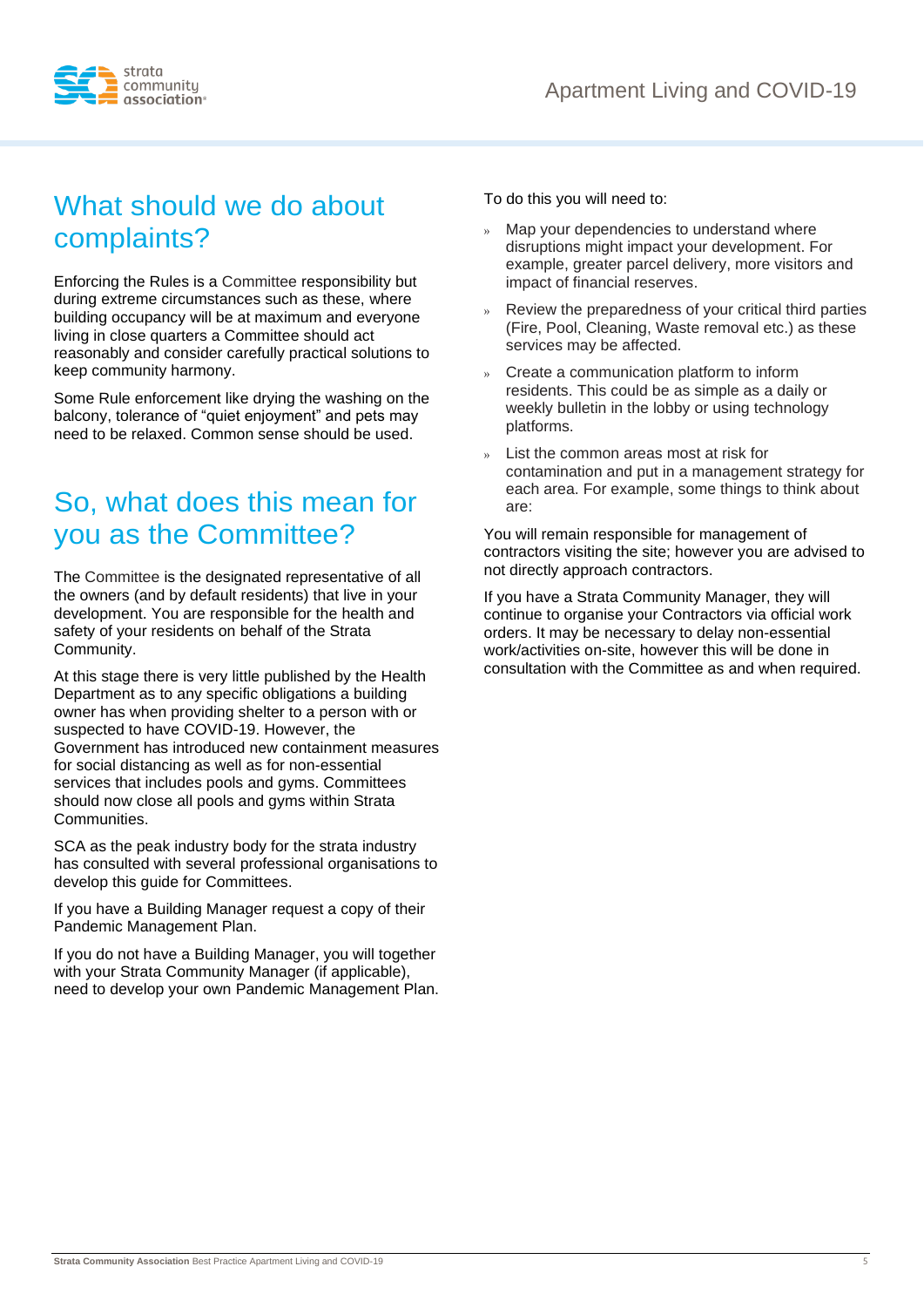

## What should we do about complaints?

Enforcing the Rules is a Committee responsibility but during extreme circumstances such as these, where building occupancy will be at maximum and everyone living in close quarters a Committee should act reasonably and consider carefully practical solutions to keep community harmony.

Some Rule enforcement like drying the washing on the balcony, tolerance of "quiet enjoyment" and pets may need to be relaxed. Common sense should be used.

### So, what does this mean for you as the Committee?

The Committee is the designated representative of all the owners (and by default residents) that live in your development. You are responsible for the health and safety of your residents on behalf of the Strata Community.

At this stage there is very little published by the Health Department as to any specific obligations a building owner has when providing shelter to a person with or suspected to have COVID-19. However, the Government has introduced new containment measures for social distancing as well as for non-essential services that includes pools and gyms. Committees should now close all pools and gyms within Strata Communities.

SCA as the peak industry body for the strata industry has consulted with several professional organisations to develop this guide for Committees.

If you have a Building Manager request a copy of their Pandemic Management Plan.

If you do not have a Building Manager, you will together with your Strata Community Manager (if applicable), need to develop your own Pandemic Management Plan. To do this you will need to:

- Map your dependencies to understand where disruptions might impact your development. For example, greater parcel delivery, more visitors and impact of financial reserves.
- » Review the preparedness of your critical third parties (Fire, Pool, Cleaning, Waste removal etc.) as these services may be affected.
- » Create a communication platform to inform residents. This could be as simple as a daily or weekly bulletin in the lobby or using technology platforms.
- » List the common areas most at risk for contamination and put in a management strategy for each area. For example, some things to think about are:

You will remain responsible for management of contractors visiting the site; however you are advised to not directly approach contractors.

If you have a Strata Community Manager, they will continue to organise your Contractors via official work orders. It may be necessary to delay non-essential work/activities on-site, however this will be done in consultation with the Committee as and when required.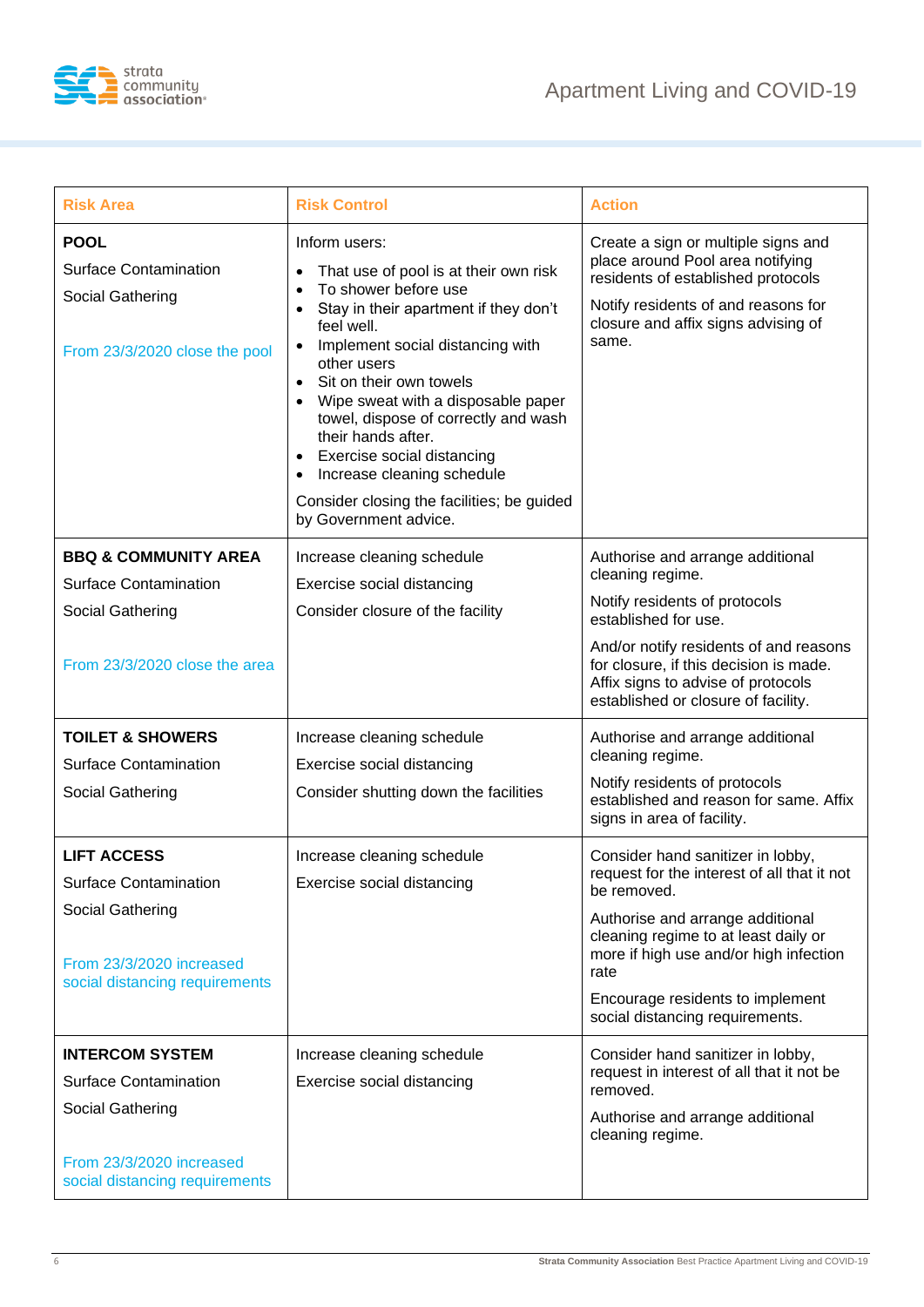



| <b>Risk Area</b>                                                                                 | <b>Risk Control</b>                                                                                                                                                                                                                                                                                                                                                                                                                                                                                                                      | <b>Action</b>                                                                                                                                                                                        |
|--------------------------------------------------------------------------------------------------|------------------------------------------------------------------------------------------------------------------------------------------------------------------------------------------------------------------------------------------------------------------------------------------------------------------------------------------------------------------------------------------------------------------------------------------------------------------------------------------------------------------------------------------|------------------------------------------------------------------------------------------------------------------------------------------------------------------------------------------------------|
| <b>POOL</b><br><b>Surface Contamination</b><br>Social Gathering<br>From 23/3/2020 close the pool | Inform users:<br>That use of pool is at their own risk<br>$\bullet$<br>To shower before use<br>$\bullet$<br>Stay in their apartment if they don't<br>$\bullet$<br>feel well.<br>Implement social distancing with<br>$\bullet$<br>other users<br>Sit on their own towels<br>$\bullet$<br>Wipe sweat with a disposable paper<br>$\bullet$<br>towel, dispose of correctly and wash<br>their hands after.<br>Exercise social distancing<br>Increase cleaning schedule<br>Consider closing the facilities; be guided<br>by Government advice. | Create a sign or multiple signs and<br>place around Pool area notifying<br>residents of established protocols<br>Notify residents of and reasons for<br>closure and affix signs advising of<br>same. |
| <b>BBQ &amp; COMMUNITY AREA</b>                                                                  | Increase cleaning schedule                                                                                                                                                                                                                                                                                                                                                                                                                                                                                                               | Authorise and arrange additional                                                                                                                                                                     |
| <b>Surface Contamination</b>                                                                     | Exercise social distancing                                                                                                                                                                                                                                                                                                                                                                                                                                                                                                               | cleaning regime.                                                                                                                                                                                     |
| Social Gathering                                                                                 | Consider closure of the facility                                                                                                                                                                                                                                                                                                                                                                                                                                                                                                         | Notify residents of protocols<br>established for use.                                                                                                                                                |
| From 23/3/2020 close the area                                                                    |                                                                                                                                                                                                                                                                                                                                                                                                                                                                                                                                          | And/or notify residents of and reasons<br>for closure, if this decision is made.<br>Affix signs to advise of protocols<br>established or closure of facility.                                        |
| <b>TOILET &amp; SHOWERS</b>                                                                      | Increase cleaning schedule                                                                                                                                                                                                                                                                                                                                                                                                                                                                                                               | Authorise and arrange additional                                                                                                                                                                     |
| <b>Surface Contamination</b>                                                                     | Exercise social distancing                                                                                                                                                                                                                                                                                                                                                                                                                                                                                                               | cleaning regime.                                                                                                                                                                                     |
| Social Gathering                                                                                 | Consider shutting down the facilities                                                                                                                                                                                                                                                                                                                                                                                                                                                                                                    | Notify residents of protocols<br>established and reason for same. Affix<br>signs in area of facility.                                                                                                |
| <b>LIFT ACCESS</b>                                                                               | Increase cleaning schedule                                                                                                                                                                                                                                                                                                                                                                                                                                                                                                               | Consider hand sanitizer in lobby,                                                                                                                                                                    |
| <b>Surface Contamination</b>                                                                     | Exercise social distancing                                                                                                                                                                                                                                                                                                                                                                                                                                                                                                               | request for the interest of all that it not<br>be removed.                                                                                                                                           |
| Social Gathering<br>From 23/3/2020 increased<br>social distancing requirements                   |                                                                                                                                                                                                                                                                                                                                                                                                                                                                                                                                          | Authorise and arrange additional<br>cleaning regime to at least daily or<br>more if high use and/or high infection<br>rate<br>Encourage residents to implement<br>social distancing requirements.    |
| <b>INTERCOM SYSTEM</b>                                                                           | Increase cleaning schedule                                                                                                                                                                                                                                                                                                                                                                                                                                                                                                               | Consider hand sanitizer in lobby,                                                                                                                                                                    |
| <b>Surface Contamination</b>                                                                     | Exercise social distancing                                                                                                                                                                                                                                                                                                                                                                                                                                                                                                               | request in interest of all that it not be<br>removed.                                                                                                                                                |
| Social Gathering                                                                                 |                                                                                                                                                                                                                                                                                                                                                                                                                                                                                                                                          | Authorise and arrange additional<br>cleaning regime.                                                                                                                                                 |
| From 23/3/2020 increased<br>social distancing requirements                                       |                                                                                                                                                                                                                                                                                                                                                                                                                                                                                                                                          |                                                                                                                                                                                                      |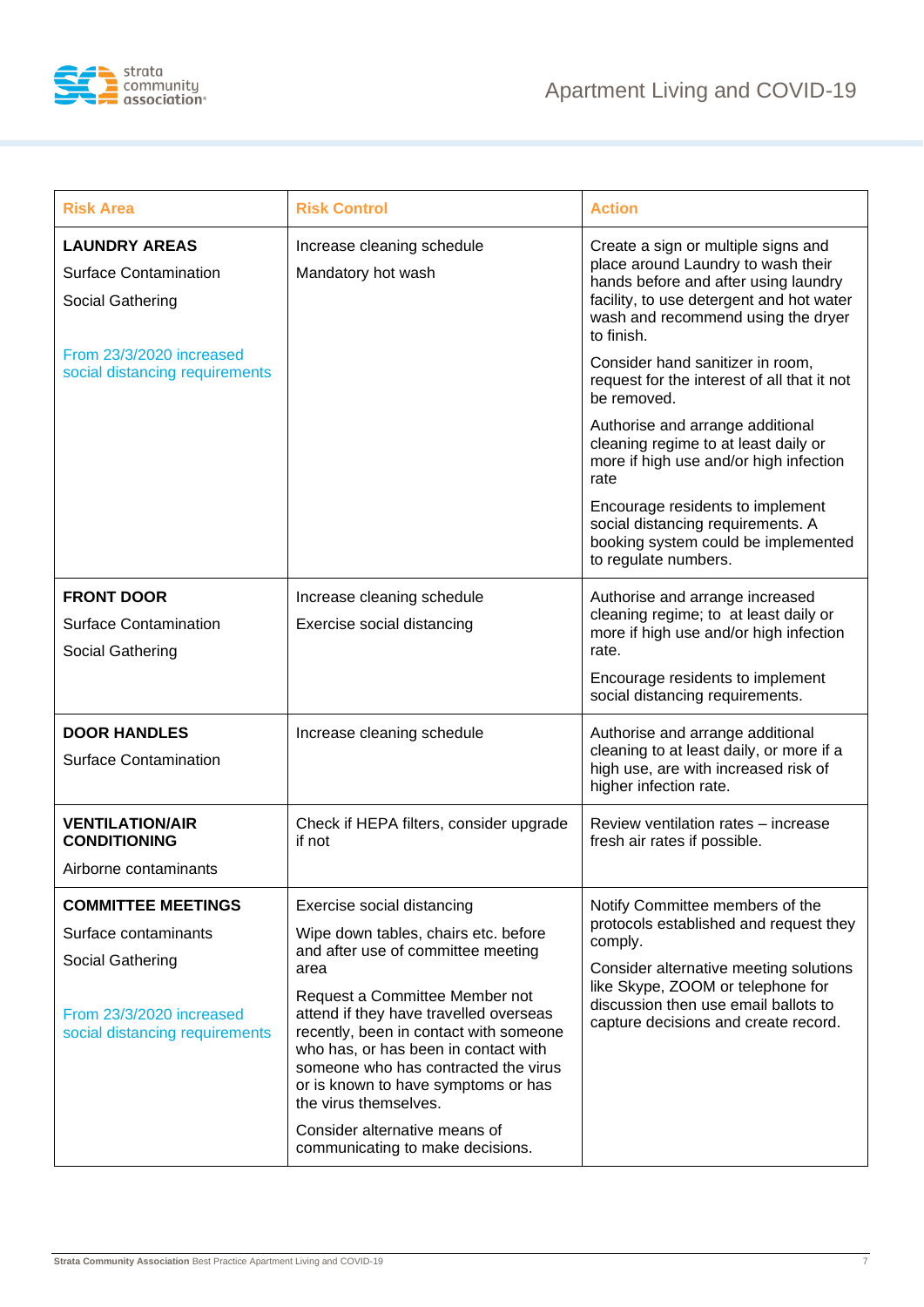

| <b>Risk Area</b>                                                         | <b>Risk Control</b>                                                                                                                                                                                                                                                | <b>Action</b>                                                                                                                                                                                                                                                                                                                                                        |
|--------------------------------------------------------------------------|--------------------------------------------------------------------------------------------------------------------------------------------------------------------------------------------------------------------------------------------------------------------|----------------------------------------------------------------------------------------------------------------------------------------------------------------------------------------------------------------------------------------------------------------------------------------------------------------------------------------------------------------------|
| <b>LAUNDRY AREAS</b><br><b>Surface Contamination</b><br>Social Gathering | Increase cleaning schedule<br>Mandatory hot wash                                                                                                                                                                                                                   | Create a sign or multiple signs and<br>place around Laundry to wash their<br>hands before and after using laundry<br>facility, to use detergent and hot water<br>wash and recommend using the dryer<br>to finish.                                                                                                                                                    |
| From 23/3/2020 increased<br>social distancing requirements               |                                                                                                                                                                                                                                                                    | Consider hand sanitizer in room,<br>request for the interest of all that it not<br>be removed.<br>Authorise and arrange additional<br>cleaning regime to at least daily or<br>more if high use and/or high infection<br>rate<br>Encourage residents to implement<br>social distancing requirements. A<br>booking system could be implemented<br>to regulate numbers. |
| <b>FRONT DOOR</b>                                                        | Increase cleaning schedule                                                                                                                                                                                                                                         | Authorise and arrange increased<br>cleaning regime; to at least daily or                                                                                                                                                                                                                                                                                             |
| <b>Surface Contamination</b><br>Social Gathering                         | Exercise social distancing                                                                                                                                                                                                                                         | more if high use and/or high infection<br>rate.                                                                                                                                                                                                                                                                                                                      |
|                                                                          |                                                                                                                                                                                                                                                                    | Encourage residents to implement<br>social distancing requirements.                                                                                                                                                                                                                                                                                                  |
| <b>DOOR HANDLES</b><br><b>Surface Contamination</b>                      | Increase cleaning schedule                                                                                                                                                                                                                                         | Authorise and arrange additional<br>cleaning to at least daily, or more if a<br>high use, are with increased risk of<br>higher infection rate.                                                                                                                                                                                                                       |
| <b>VENTILATION/AIR</b><br><b>CONDITIONING</b>                            | Check if HEPA filters, consider upgrade<br>if not                                                                                                                                                                                                                  | Review ventilation rates - increase<br>fresh air rates if possible.                                                                                                                                                                                                                                                                                                  |
| Airborne contaminants                                                    |                                                                                                                                                                                                                                                                    |                                                                                                                                                                                                                                                                                                                                                                      |
| <b>COMMITTEE MEETINGS</b>                                                | Exercise social distancing                                                                                                                                                                                                                                         | Notify Committee members of the                                                                                                                                                                                                                                                                                                                                      |
| Surface contaminants                                                     | Wipe down tables, chairs etc. before<br>and after use of committee meeting                                                                                                                                                                                         | protocols established and request they<br>comply.<br>Consider alternative meeting solutions<br>like Skype, ZOOM or telephone for<br>discussion then use email ballots to<br>capture decisions and create record.                                                                                                                                                     |
| Social Gathering                                                         | area                                                                                                                                                                                                                                                               |                                                                                                                                                                                                                                                                                                                                                                      |
| From 23/3/2020 increased<br>social distancing requirements               | Request a Committee Member not<br>attend if they have travelled overseas<br>recently, been in contact with someone<br>who has, or has been in contact with<br>someone who has contracted the virus<br>or is known to have symptoms or has<br>the virus themselves. |                                                                                                                                                                                                                                                                                                                                                                      |
|                                                                          | Consider alternative means of<br>communicating to make decisions.                                                                                                                                                                                                  |                                                                                                                                                                                                                                                                                                                                                                      |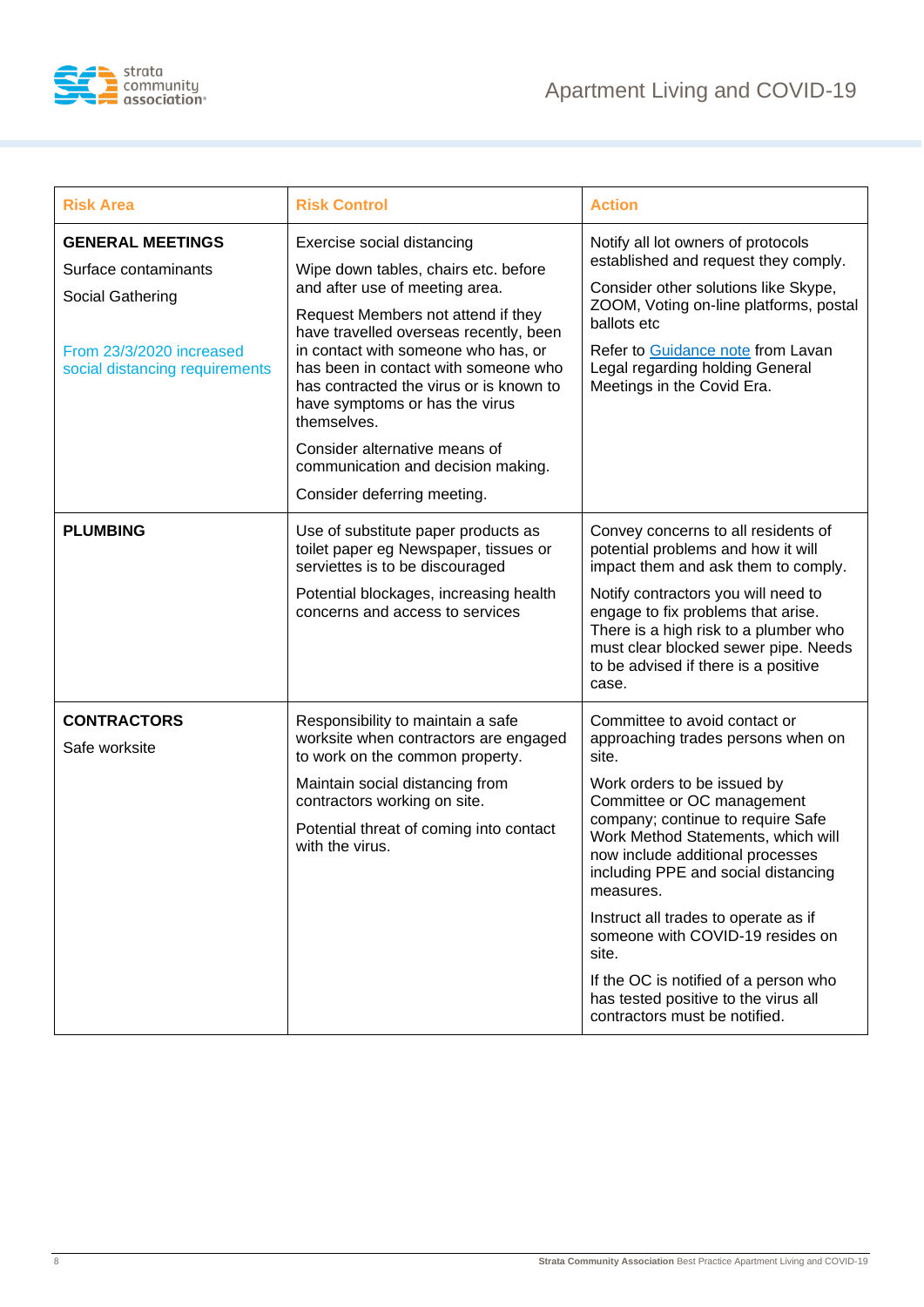

| <b>Risk Area</b>                                                                                                                  | <b>Risk Control</b>                                                                                                                                                                                                                                                                                                                                                                                                                                                   | <b>Action</b>                                                                                                                                                                                                                                                                                                                                                                                                                                                                                                       |
|-----------------------------------------------------------------------------------------------------------------------------------|-----------------------------------------------------------------------------------------------------------------------------------------------------------------------------------------------------------------------------------------------------------------------------------------------------------------------------------------------------------------------------------------------------------------------------------------------------------------------|---------------------------------------------------------------------------------------------------------------------------------------------------------------------------------------------------------------------------------------------------------------------------------------------------------------------------------------------------------------------------------------------------------------------------------------------------------------------------------------------------------------------|
| <b>GENERAL MEETINGS</b><br>Surface contaminants<br>Social Gathering<br>From 23/3/2020 increased<br>social distancing requirements | Exercise social distancing<br>Wipe down tables, chairs etc. before<br>and after use of meeting area.<br>Request Members not attend if they<br>have travelled overseas recently, been<br>in contact with someone who has, or<br>has been in contact with someone who<br>has contracted the virus or is known to<br>have symptoms or has the virus<br>themselves.<br>Consider alternative means of<br>communication and decision making.<br>Consider deferring meeting. | Notify all lot owners of protocols<br>established and request they comply.<br>Consider other solutions like Skype,<br>ZOOM, Voting on-line platforms, postal<br>ballots etc<br>Refer to Guidance note from Lavan<br>Legal regarding holding General<br>Meetings in the Covid Era.                                                                                                                                                                                                                                   |
| <b>PLUMBING</b>                                                                                                                   | Use of substitute paper products as<br>toilet paper eg Newspaper, tissues or<br>serviettes is to be discouraged<br>Potential blockages, increasing health<br>concerns and access to services                                                                                                                                                                                                                                                                          | Convey concerns to all residents of<br>potential problems and how it will<br>impact them and ask them to comply.<br>Notify contractors you will need to<br>engage to fix problems that arise.<br>There is a high risk to a plumber who<br>must clear blocked sewer pipe. Needs<br>to be advised if there is a positive<br>case.                                                                                                                                                                                     |
| <b>CONTRACTORS</b><br>Safe worksite                                                                                               | Responsibility to maintain a safe<br>worksite when contractors are engaged<br>to work on the common property.<br>Maintain social distancing from<br>contractors working on site.<br>Potential threat of coming into contact<br>with the virus.                                                                                                                                                                                                                        | Committee to avoid contact or<br>approaching trades persons when on<br>site.<br>Work orders to be issued by<br>Committee or OC management<br>company; continue to require Safe<br>Work Method Statements, which will<br>now include additional processes<br>including PPE and social distancing<br>measures.<br>Instruct all trades to operate as if<br>someone with COVID-19 resides on<br>site.<br>If the OC is notified of a person who<br>has tested positive to the virus all<br>contractors must be notified. |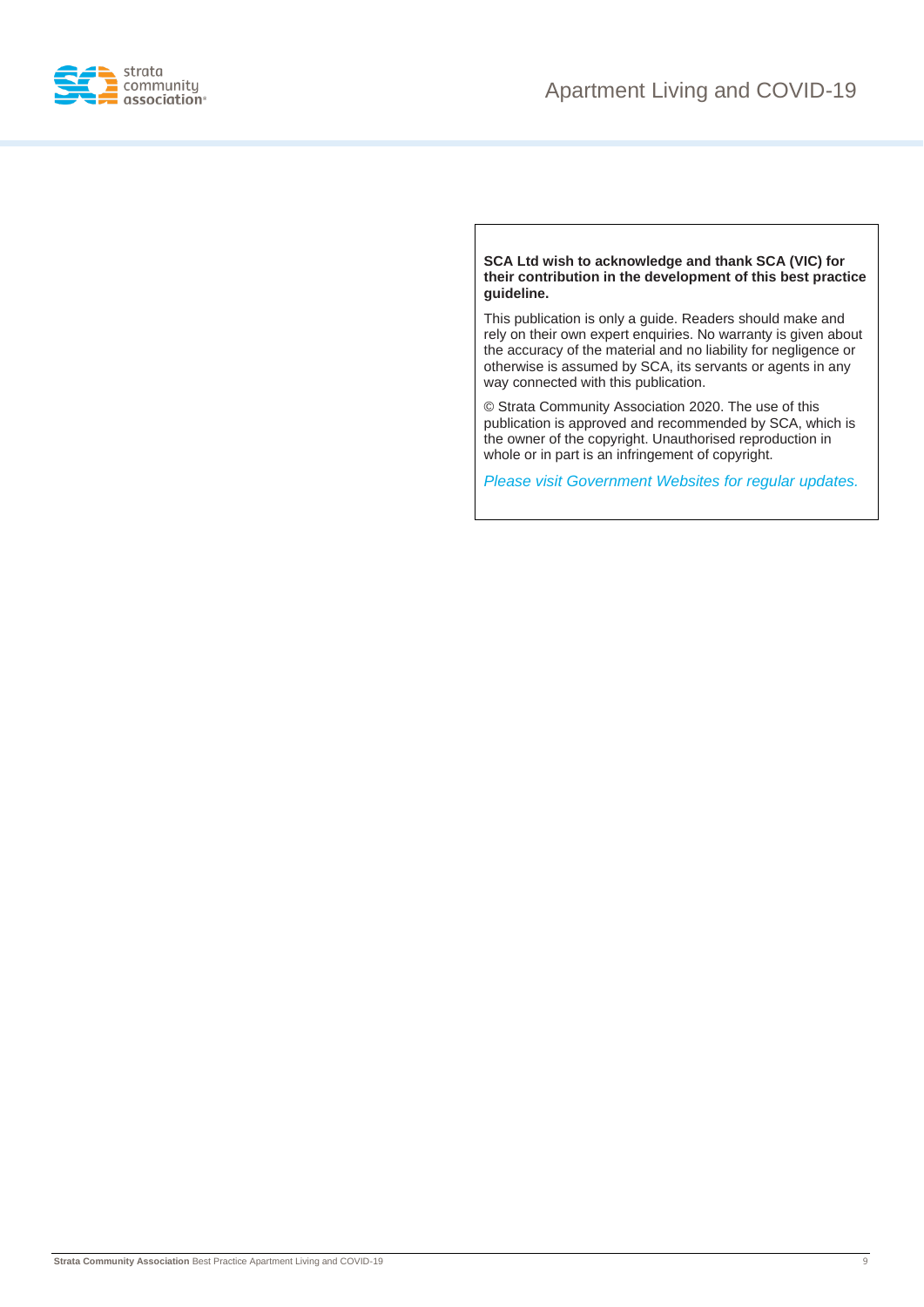

**SCA Ltd wish to acknowledge and thank SCA (VIC) for their contribution in the development of this best practice guideline.**

This publication is only a guide. Readers should make and rely on their own expert enquiries. No warranty is given about the accuracy of the material and no liability for negligence or otherwise is assumed by SCA, its servants or agents in any way connected with this publication.

© Strata Community Association 2020. The use of this publication is approved and recommended by SCA, which is the owner of the copyright. Unauthorised reproduction in whole or in part is an infringement of copyright.

*Please visit Government Websites for regular updates.*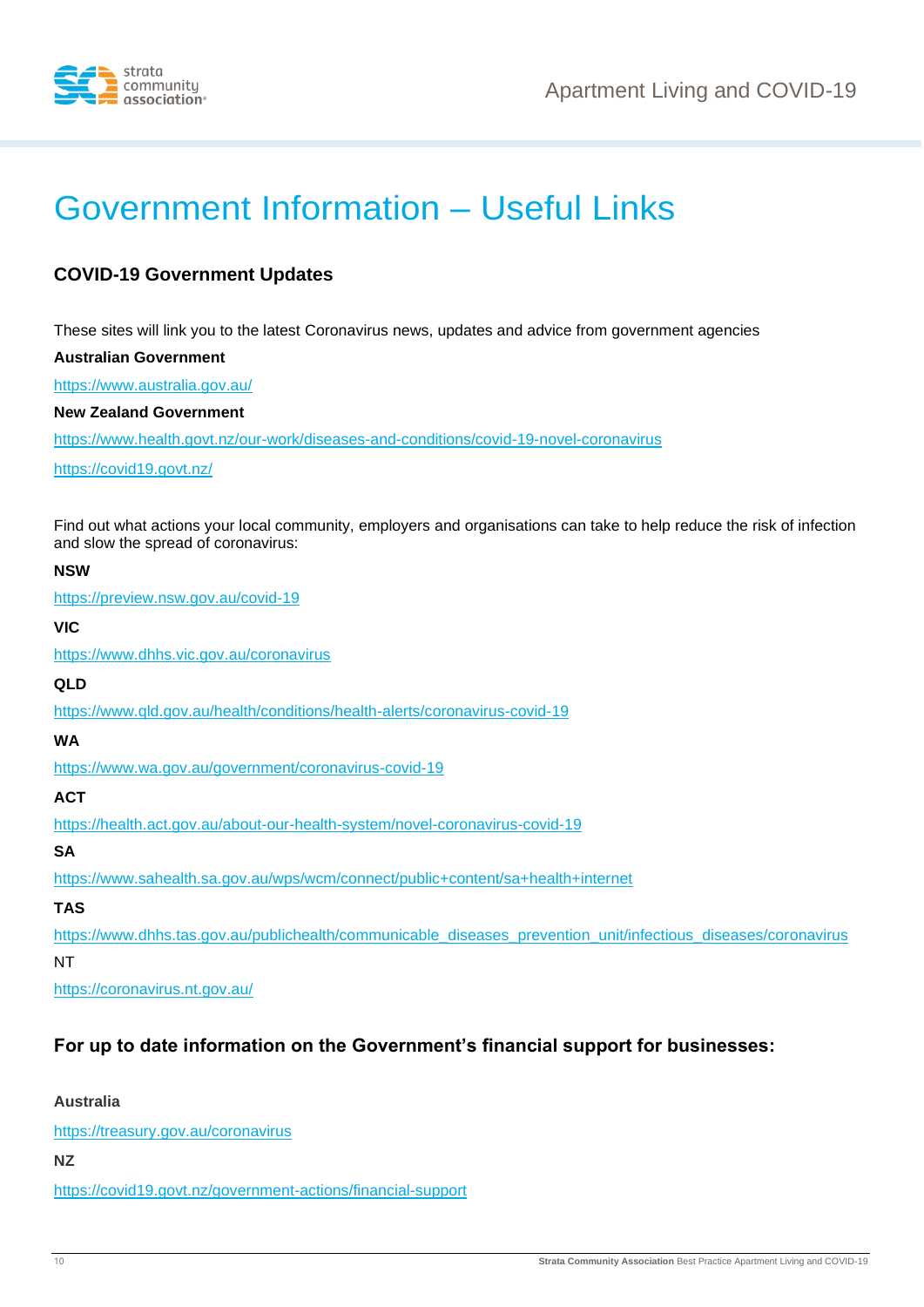

# Government Information – Useful Links

### **COVID-19 Government Updates**

These sites will link you to the latest Coronavirus news, updates and advice from government agencies

**Australian Government**

<https://www.australia.gov.au/>

**New Zealand Government**

<https://www.health.govt.nz/our-work/diseases-and-conditions/covid-19-novel-coronavirus>

<https://covid19.govt.nz/>

Find out what actions your local community, employers and organisations can take to help reduce the risk of infection and slow the spread of coronavirus:

#### **NSW**

<https://preview.nsw.gov.au/covid-19>

**VIC**

<https://www.dhhs.vic.gov.au/coronavirus>

**QLD**

<https://www.qld.gov.au/health/conditions/health-alerts/coronavirus-covid-19>

**WA**

<https://www.wa.gov.au/government/coronavirus-covid-19>

#### **ACT**

<https://health.act.gov.au/about-our-health-system/novel-coronavirus-covid-19>

**SA**

<https://www.sahealth.sa.gov.au/wps/wcm/connect/public+content/sa+health+internet>

#### **TAS**

[https://www.dhhs.tas.gov.au/publichealth/communicable\\_diseases\\_prevention\\_unit/infectious\\_diseases/coronavirus](https://www.dhhs.tas.gov.au/publichealth/communicable_diseases_prevention_unit/infectious_diseases/coronavirus)

NT

<https://coronavirus.nt.gov.au/>

#### **For up to date information on the Government's financial support for businesses:**

**Australia**

<https://treasury.gov.au/coronavirus>

**NZ**

<https://covid19.govt.nz/government-actions/financial-support>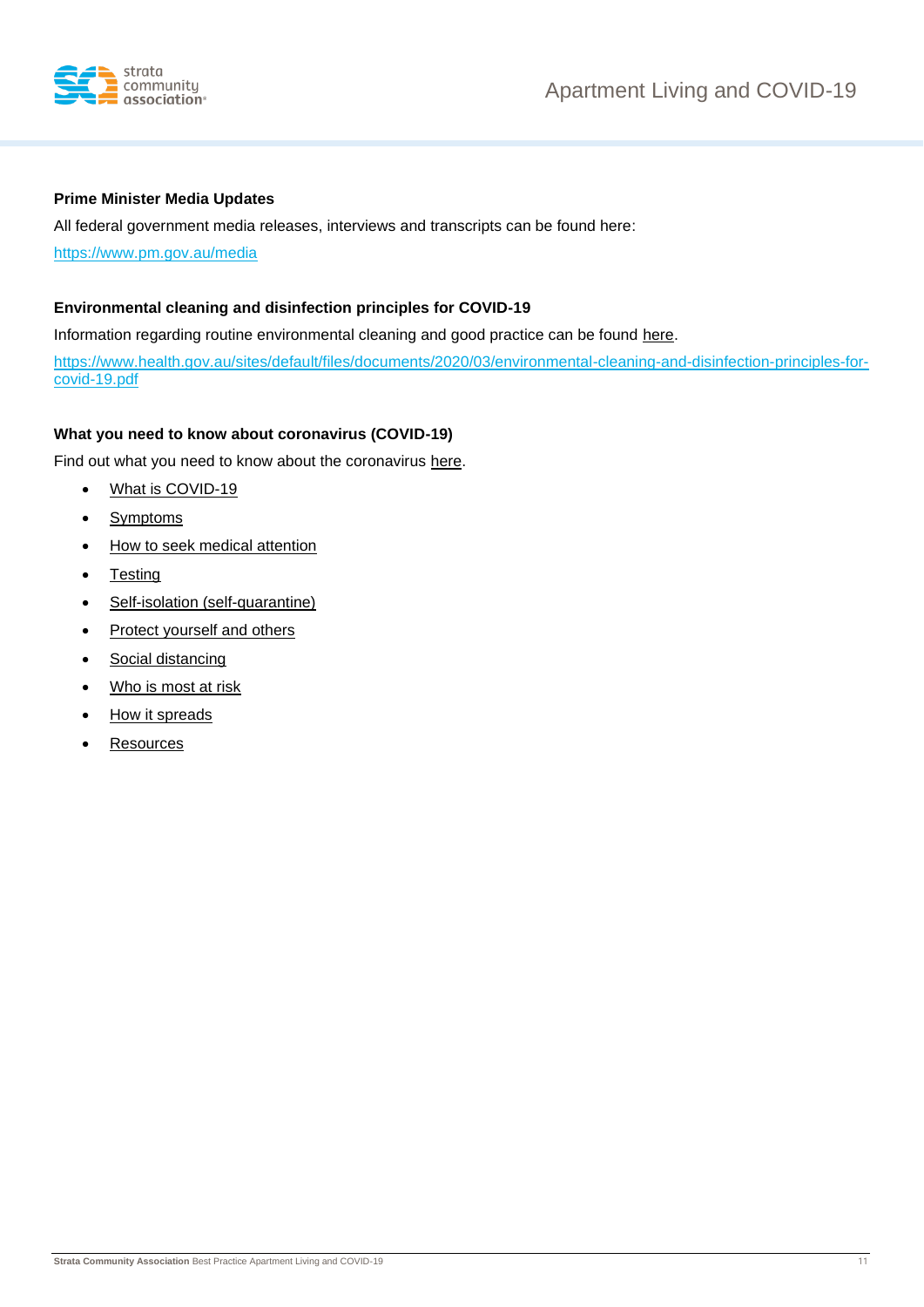

#### **Prime Minister Media Updates**

All federal government media releases, interviews and transcripts can be found here:

<https://www.pm.gov.au/media>

#### **Environmental cleaning and disinfection principles for COVID-19**

Information regarding routine environmental cleaning and good practice can be found [here.](https://www.health.gov.au/sites/default/files/documents/2020/03/environmental-cleaning-and-disinfection-principles-for-covid-19.pdf)

[https://www.health.gov.au/sites/default/files/documents/2020/03/environmental-cleaning-and-disinfection-principles-for](https://www.health.gov.au/sites/default/files/documents/2020/03/environmental-cleaning-and-disinfection-principles-for-covid-19.pdf)[covid-19.pdf](https://www.health.gov.au/sites/default/files/documents/2020/03/environmental-cleaning-and-disinfection-principles-for-covid-19.pdf)

#### **What you need to know about coronavirus (COVID-19)**

Find out what you need to know about the coronavirus [here.](https://www.health.gov.au/news/health-alerts/novel-coronavirus-2019-ncov-health-alert/what-you-need-to-know-about-coronavirus-covid-19#selfisolation-selfquarantine)

- [What is COVID-19](https://www.health.gov.au/news/health-alerts/novel-coronavirus-2019-ncov-health-alert/what-you-need-to-know-about-coronavirus-covid-19#what-is-covid19)
- [Symptoms](https://www.health.gov.au/news/health-alerts/novel-coronavirus-2019-ncov-health-alert/what-you-need-to-know-about-coronavirus-covid-19#symptoms)
- [How to seek medical attention](https://www.health.gov.au/news/health-alerts/novel-coronavirus-2019-ncov-health-alert/what-you-need-to-know-about-coronavirus-covid-19#how-to-seek-medical-attention)
- **[Testing](https://www.health.gov.au/news/health-alerts/novel-coronavirus-2019-ncov-health-alert/what-you-need-to-know-about-coronavirus-covid-19#testing)**
- [Self-isolation \(self-quarantine\)](https://www.health.gov.au/news/health-alerts/novel-coronavirus-2019-ncov-health-alert/what-you-need-to-know-about-coronavirus-covid-19#selfisolation-selfquarantine)
- [Protect yourself and others](https://www.health.gov.au/news/health-alerts/novel-coronavirus-2019-ncov-health-alert/what-you-need-to-know-about-coronavirus-covid-19#protect-yourself-and-others)
- [Social distancing](https://www.health.gov.au/news/health-alerts/novel-coronavirus-2019-ncov-health-alert/what-you-need-to-know-about-coronavirus-covid-19#social-distancing)
- [Who is most at risk](https://www.health.gov.au/news/health-alerts/novel-coronavirus-2019-ncov-health-alert/what-you-need-to-know-about-coronavirus-covid-19#who-is-most-at-risk)
- [How it spreads](https://www.health.gov.au/news/health-alerts/novel-coronavirus-2019-ncov-health-alert/what-you-need-to-know-about-coronavirus-covid-19#how-it-spreads)
- **[Resources](https://www.health.gov.au/news/health-alerts/novel-coronavirus-2019-ncov-health-alert/what-you-need-to-know-about-coronavirus-covid-19#resources)**